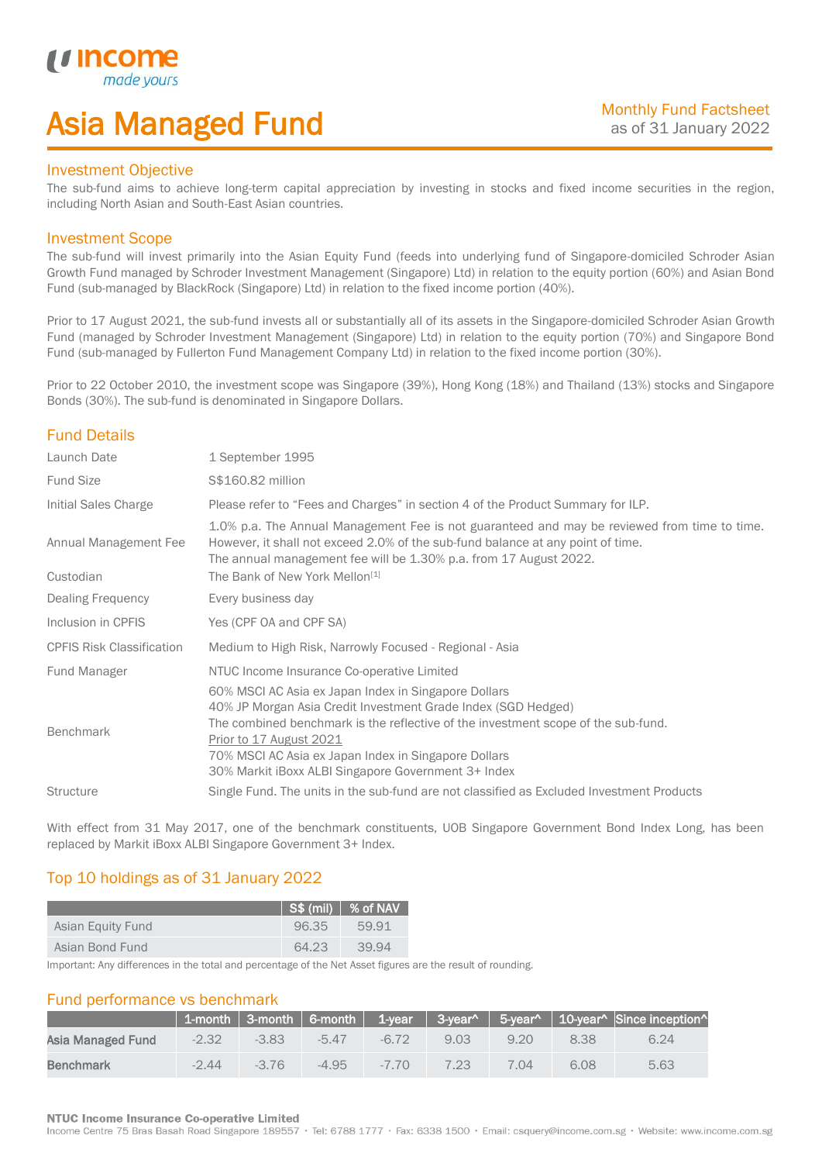# Asia Managed Fund

### Investment Objective

*i i* Incol

I

The sub-fund aims to achieve long-term capital appreciation by investing in stocks and fixed income securities in the region, including North Asian and South-East Asian countries.

### Investment Scope

The sub-fund will invest primarily into the Asian Equity Fund (feeds into underlying fund of Singapore-domiciled Schroder Asian Growth Fund managed by Schroder Investment Management (Singapore) Ltd) in relation to the equity portion (60%) and Asian Bond Fund (sub-managed by BlackRock (Singapore) Ltd) in relation to the fixed income portion (40%).

Prior to 17 August 2021, the sub-fund invests all or substantially all of its assets in the Singapore-domiciled Schroder Asian Growth Fund (managed by Schroder Investment Management (Singapore) Ltd) in relation to the equity portion (70%) and Singapore Bond Fund (sub-managed by Fullerton Fund Management Company Ltd) in relation to the fixed income portion (30%).

Prior to 22 October 2010, the investment scope was Singapore (39%), Hong Kong (18%) and Thailand (13%) stocks and Singapore Bonds (30%). The sub-fund is denominated in Singapore Dollars.

# Fund Details

| Launch Date                        | 1 September 1995                                                                                                                                                                                                                                                                                                                                     |
|------------------------------------|------------------------------------------------------------------------------------------------------------------------------------------------------------------------------------------------------------------------------------------------------------------------------------------------------------------------------------------------------|
| <b>Fund Size</b>                   | \$\$160.82 million                                                                                                                                                                                                                                                                                                                                   |
| Initial Sales Charge               | Please refer to "Fees and Charges" in section 4 of the Product Summary for ILP.                                                                                                                                                                                                                                                                      |
| Annual Management Fee<br>Custodian | 1.0% p.a. The Annual Management Fee is not guaranteed and may be reviewed from time to time.<br>However, it shall not exceed 2.0% of the sub-fund balance at any point of time.<br>The annual management fee will be 1.30% p.a. from 17 August 2022.<br>The Bank of New York Mellon <sup>[1]</sup>                                                   |
| Dealing Frequency                  | Every business day                                                                                                                                                                                                                                                                                                                                   |
| Inclusion in CPFIS                 | Yes (CPF OA and CPF SA)                                                                                                                                                                                                                                                                                                                              |
| <b>CPFIS Risk Classification</b>   | Medium to High Risk, Narrowly Focused - Regional - Asia                                                                                                                                                                                                                                                                                              |
| <b>Fund Manager</b>                | NTUC Income Insurance Co-operative Limited                                                                                                                                                                                                                                                                                                           |
| <b>Benchmark</b>                   | 60% MSCI AC Asia ex Japan Index in Singapore Dollars<br>40% JP Morgan Asia Credit Investment Grade Index (SGD Hedged)<br>The combined benchmark is the reflective of the investment scope of the sub-fund.<br>Prior to 17 August 2021<br>70% MSCI AC Asia ex Japan Index in Singapore Dollars<br>30% Markit iBoxx ALBI Singapore Government 3+ Index |
| <b>Structure</b>                   | Single Fund. The units in the sub-fund are not classified as Excluded Investment Products                                                                                                                                                                                                                                                            |
|                                    |                                                                                                                                                                                                                                                                                                                                                      |

With effect from 31 May 2017, one of the benchmark constituents, UOB Singapore Government Bond Index Long, has been replaced by Markit iBoxx ALBI Singapore Government 3+ Index.

# Top 10 holdings as of 31 January 2022

|                   |       | $ $ S\$ (mil) $ $ % of NAV |
|-------------------|-------|----------------------------|
| Asian Equity Fund | 96.35 | 59.91                      |
| Asian Bond Fund   | 64.23 | 39.94                      |

Important: Any differences in the total and percentage of the Net Asset figures are the result of rounding.

## Fund performance vs benchmark

|                   |         |         |         |        |      |      |      | $\mid$ 1-month $\mid$ 3-month $\mid$ 6-month $\mid$ 1-year $\mid$ 3-year^ $\mid$ 5-year^ $\mid$ 10-year^ Since inception^ |
|-------------------|---------|---------|---------|--------|------|------|------|---------------------------------------------------------------------------------------------------------------------------|
| Asia Managed Fund | $-2.32$ | $-3.83$ | $-5.47$ | -6.72  | 9.03 | 9.20 | 8.38 | 6.24                                                                                                                      |
| Benchmark         | $-2.44$ | $-376$  | $-4.95$ | $-770$ | 7 23 | 7.04 | 6.08 | 5.63                                                                                                                      |

#### **NTUC Income Insurance Co-operative Limited**

Income Centre 75 Bras Basah Road Singapore 189557 · Tel: 6788 1777 · Fax: 6338 1500 · Email: csquery@income.com.sg · Website: www.income.com.sg